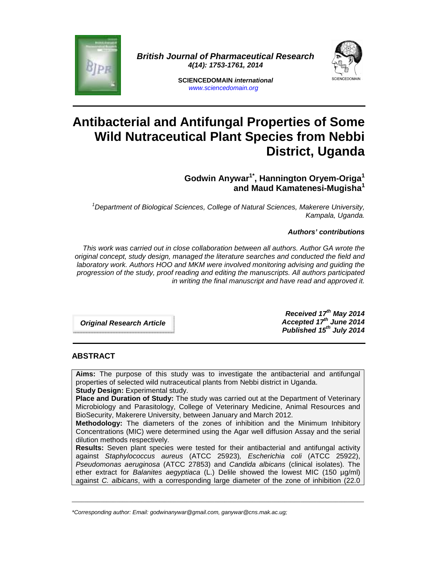

**British Journal of Pharmaceutical Research 4(14): 1753-1761, 2014** 



**SCIENCEDOMAIN international**  www.sciencedomain.org

# **Antibacterial and Antifungal Properties of Some Wild Nutraceutical Plant Species from Nebbi District, Uganda**

**Godwin Anywar1\*, Hannington Oryem-Origa<sup>1</sup> and Maud Kamatenesi-Mugisha<sup>1</sup>**

 $1$ Department of Biological Sciences, College of Natural Sciences, Makerere University, Kampala, Uganda.

# **Authors' contributions**

This work was carried out in close collaboration between all authors. Author GA wrote the original concept, study design, managed the literature searches and conducted the field and laboratory work. Authors HOO and MKM were involved monitoring advising and guiding the progression of the study, proof reading and editing the manuscripts. All authors participated in writing the final manuscript and have read and approved it.

**Original Research Article** 

**Received 17th May 2014 Accepted 17th June 2014 Published 15th July 2014**

#### **ABSTRACT**

**Aims:** The purpose of this study was to investigate the antibacterial and antifungal properties of selected wild nutraceutical plants from Nebbi district in Uganda. **Study Design:** Experimental study.

**Place and Duration of Study:** The study was carried out at the Department of Veterinary Microbiology and Parasitology, College of Veterinary Medicine, Animal Resources and BioSecurity, Makerere University, between January and March 2012.

**Methodology:** The diameters of the zones of inhibition and the Minimum Inhibitory Concentrations (MIC) were determined using the Agar well diffusion Assay and the serial dilution methods respectively.

**Results:** Seven plant species were tested for their antibacterial and antifungal activity against Staphylococcus aureus (ATCC 25923), Escherichia coli (ATCC 25922), Pseudomonas aeruginosa (ATCC 27853) and Candida albicans (clinical isolates). The ether extract for *Balanites aegyptiaca* (L.) Delile showed the lowest MIC (150 µg/ml) against C. albicans, with a corresponding large diameter of the zone of inhibition (22.0

 $\_$  , and the set of the set of the set of the set of the set of the set of the set of the set of the set of the set of the set of the set of the set of the set of the set of the set of the set of the set of the set of th

<sup>\*</sup>Corresponding author: Email: godwinanywar@gmail.com, ganywar@cns.mak.ac.ug;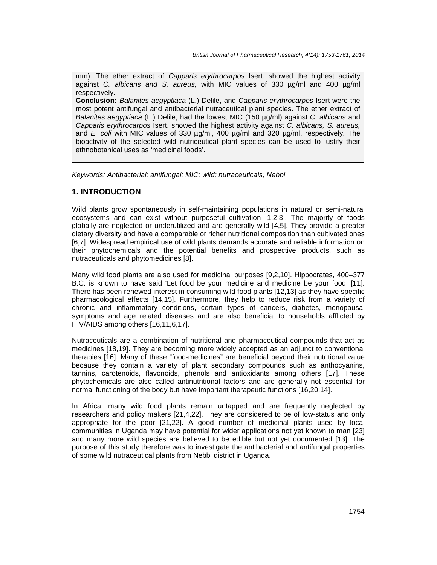mm). The ether extract of Capparis erythrocarpos Isert. showed the highest activity against C. albicans and S. aureus, with MIC values of 330  $\mu q/ml$  and 400  $\mu q/ml$ respectively.

**Conclusion:** Balanites aegyptiaca (L.) Delile, and Capparis erythrocarpos Isert were the most potent antifungal and antibacterial nutraceutical plant species. The ether extract of Balanites aegyptiaca (L.) Delile, had the lowest MIC (150 µg/ml) against C. albicans and Capparis erythrocarpos Isert. showed the highest activity against C. albicans, S. aureus, and E. coli with MIC values of 330  $\mu q/ml$ , 400  $\mu q/ml$  and 320  $\mu q/ml$ , respectively. The bioactivity of the selected wild nutriceutical plant species can be used to justify their ethnobotanical uses as 'medicinal foods'.

Keywords: Antibacterial; antifungal; MIC; wild; nutraceuticals; Nebbi.

# **1. INTRODUCTION**

Wild plants grow spontaneously in self-maintaining populations in natural or semi-natural ecosystems and can exist without purposeful cultivation [1,2,3]. The majority of foods globally are neglected or underutilized and are generally wild [4,5]. They provide a greater dietary diversity and have a comparable or richer nutritional composition than cultivated ones [6,7]. Widespread empirical use of wild plants demands accurate and reliable information on their phytochemicals and the potential benefits and prospective products, such as nutraceuticals and phytomedicines [8].

Many wild food plants are also used for medicinal purposes [9,2,10]. Hippocrates, 400–377 B.C. is known to have said 'Let food be your medicine and medicine be your food' [11]. There has been renewed interest in consuming wild food plants [12,13] as they have specific pharmacological effects [14,15]. Furthermore, they help to reduce risk from a variety of chronic and inflammatory conditions, certain types of cancers, diabetes, menopausal symptoms and age related diseases and are also beneficial to households afflicted by HIV/AIDS among others [16,11,6,17].

Nutraceuticals are a combination of nutritional and pharmaceutical compounds that act as medicines [18,19]. They are becoming more widely accepted as an adjunct to conventional therapies [16]. Many of these "food-medicines" are beneficial beyond their nutritional value because they contain a variety of plant secondary compounds such as anthocyanins, tannins, carotenoids, flavonoids, phenols and antioxidants among others [17]. These phytochemicals are also called antinutritional factors and are generally not essential for normal functioning of the body but have important therapeutic functions [16,20,14].

In Africa, many wild food plants remain untapped and are frequently neglected by researchers and policy makers [21,4,22]. They are considered to be of low-status and only appropriate for the poor [21,22]. A good number of medicinal plants used by local communities in Uganda may have potential for wider applications not yet known to man [23] and many more wild species are believed to be edible but not yet documented [13]. The purpose of this study therefore was to investigate the antibacterial and antifungal properties of some wild nutraceutical plants from Nebbi district in Uganda.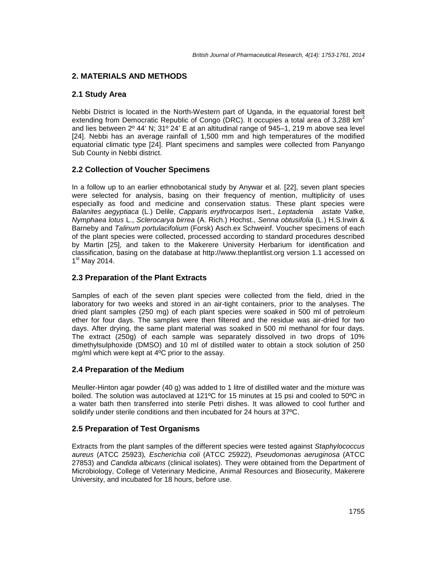# **2. MATERIALS AND METHODS**

# **2.1 Study Area**

Nebbi District is located in the North-Western part of Uganda, in the equatorial forest belt extending from Democratic Republic of Congo (DRC). It occupies a total area of 3,288  $km^2$ and lies between 2º 44' N; 31º 24' E at an altitudinal range of 945–1, 219 m above sea level [24]. Nebbi has an average rainfall of 1,500 mm and high temperatures of the modified equatorial climatic type [24]. Plant specimens and samples were collected from Panyango Sub County in Nebbi district.

# **2.2 Collection of Voucher Specimens**

In a follow up to an earlier ethnobotanical study by Anywar et al. [22], seven plant species were selected for analysis, basing on their frequency of mention, multiplicity of uses especially as food and medicine and conservation status. These plant species were Balanites aegyptiaca (L.) Delile, Capparis erythrocarpos Isert., Leptadenia astate Vatke, Nymphaea lotus L., Sclerocarya birrea (A. Rich.) Hochst., Senna obtusifolia (L.) H.S.Irwin & Barneby and Talinum portulacifolium (Forsk) Asch.ex Schweinf. Voucher specimens of each of the plant species were collected, processed according to standard procedures described by Martin [25], and taken to the Makerere University Herbarium for identification and classification, basing on the database at http://www.theplantlist.org version 1.1 accessed on 1 st May 2014.

#### **2.3 Preparation of the Plant Extracts**

Samples of each of the seven plant species were collected from the field, dried in the laboratory for two weeks and stored in an air-tight containers, prior to the analyses. The dried plant samples (250 mg) of each plant species were soaked in 500 ml of petroleum ether for four days. The samples were then filtered and the residue was air-dried for two days. After drying, the same plant material was soaked in 500 ml methanol for four days. The extract (250g) of each sample was separately dissolved in two drops of 10% dimethylsulphoxide (DMSO) and 10 ml of distilled water to obtain a stock solution of 250 mg/ml which were kept at 4ºC prior to the assay.

#### **2.4 Preparation of the Medium**

Meuller-Hinton agar powder (40 g) was added to 1 litre of distilled water and the mixture was boiled. The solution was autoclaved at 121ºC for 15 minutes at 15 psi and cooled to 50ºC in a water bath then transferred into sterile Petri dishes. It was allowed to cool further and solidify under sterile conditions and then incubated for 24 hours at 37ºC.

# **2.5 Preparation of Test Organisms**

Extracts from the plant samples of the different species were tested against Staphylococcus aureus (ATCC 25923), Escherichia coli (ATCC 25922), Pseudomonas aeruginosa (ATCC 27853) and Candida albicans (clinical isolates). They were obtained from the Department of Microbiology, College of Veterinary Medicine, Animal Resources and Biosecurity, Makerere University, and incubated for 18 hours, before use.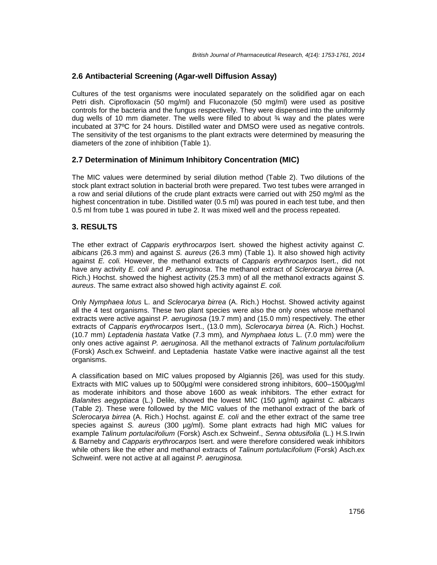# **2.6 Antibacterial Screening (Agar-well Diffusion Assay)**

Cultures of the test organisms were inoculated separately on the solidified agar on each Petri dish. Ciprofloxacin (50 mg/ml) and Fluconazole (50 mg/ml) were used as positive controls for the bacteria and the fungus respectively. They were dispensed into the uniformly dug wells of 10 mm diameter. The wells were filled to about  $\frac{3}{4}$  way and the plates were incubated at 37ºC for 24 hours. Distilled water and DMSO were used as negative controls. The sensitivity of the test organisms to the plant extracts were determined by measuring the diameters of the zone of inhibition (Table 1).

#### **2.7 Determination of Minimum Inhibitory Concentration (MIC)**

The MIC values were determined by serial dilution method (Table 2). Two dilutions of the stock plant extract solution in bacterial broth were prepared. Two test tubes were arranged in a row and serial dilutions of the crude plant extracts were carried out with 250 mg/ml as the highest concentration in tube. Distilled water (0.5 ml) was poured in each test tube, and then 0.5 ml from tube 1 was poured in tube 2. It was mixed well and the process repeated.

#### **3. RESULTS**

The ether extract of Capparis erythrocarpos Isert. showed the highest activity against C. albicans (26.3 mm) and against S. aureus (26.3 mm) (Table 1). It also showed high activity against E. coli. However, the methanol extracts of Capparis erythrocarpos Isert., did not have any activity E. coli and P. aeruginosa. The methanol extract of Sclerocarya birrea (A. Rich.) Hochst. showed the highest activity (25.3 mm) of all the methanol extracts against S. aureus. The same extract also showed high activity against E. coli.

Only Nymphaea lotus L. and Sclerocarya birrea (A. Rich.) Hochst. Showed activity against all the 4 test organisms. These two plant species were also the only ones whose methanol extracts were active against P. aeruginosa (19.7 mm) and (15.0 mm) respectively. The ether extracts of Capparis erythrocarpos Isert., (13.0 mm), Sclerocarya birrea (A. Rich.) Hochst. (10.7 mm) Leptadenia hastata Vatke (7.3 mm), and Nymphaea lotus L. (7.0 mm) were the only ones active against P. aeruginosa. All the methanol extracts of Talinum portulacifolium (Forsk) Asch.ex Schweinf. and Leptadenia hastate Vatke were inactive against all the test organisms.

A classification based on MIC values proposed by Algiannis [26], was used for this study. Extracts with MIC values up to 500µg/ml were considered strong inhibitors, 600–1500µg/ml as moderate inhibitors and those above 1600 as weak inhibitors. The ether extract for Balanites aegyptiaca (L.) Delile, showed the lowest MIC (150 µg/ml) against C. albicans (Table 2). These were followed by the MIC values of the methanol extract of the bark of Sclerocarya birrea  $(A.$  Rich.) Hochst. against  $E.$  coli and the ether extract of the same tree species against S. aureus (300  $\mu q/ml$ ). Some plant extracts had high MIC values for example Talinum portulacifolium (Forsk) Asch.ex Schweinf., Senna obtusifolia (L.) H.S.Irwin & Barneby and Capparis erythrocarpos Isert. and were therefore considered weak inhibitors while others like the ether and methanol extracts of Talinum portulacifolium (Forsk) Asch.ex Schweinf. were not active at all against P. aeruginosa.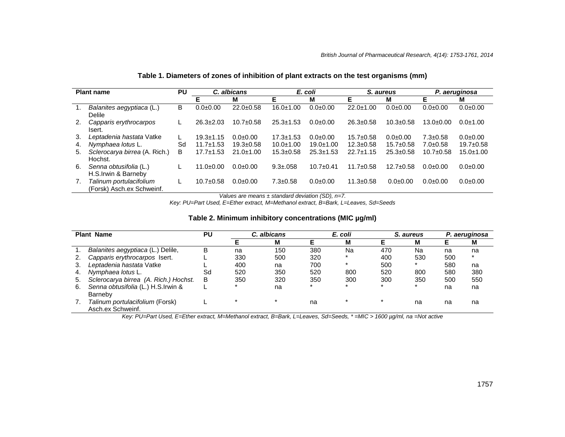| <b>Plant name</b> |                                                      | PU |                 | C. albicans     | E. coli         |                 | S. aureus       |                 | P. aeruginosa   |               |
|-------------------|------------------------------------------------------|----|-----------------|-----------------|-----------------|-----------------|-----------------|-----------------|-----------------|---------------|
|                   |                                                      |    | Е               | М               | F               | М               | F               | м               | Е               | м             |
|                   | Balanites aegyptiaca (L.)<br>Delile                  | В  | $0.0 + 0.00$    | $22.0+0.58$     | 16.0±1.00       | $0.0 + 0.00$    | $22.0 + 1.00$   | $0.0 + 0.00$    | $0.0 + 0.00$    | $0.0 + 0.00$  |
| 2.                | Capparis erythrocarpos<br>Isert.                     | L  | $26.3 \pm 2.03$ | $10.7 \pm 0.58$ | $25.3 \pm 1.53$ | $0.0 + 0.00$    | $26.3 \pm 0.58$ | $10.3 \pm 0.58$ | $13.0 \pm 0.00$ | $0.0 + 1.00$  |
| 3.                | Leptadenia hastata Vatke                             | L  | $19.3 \pm 1.15$ | $0.0 + 0.00$    | $17.3 \pm 1.53$ | $0.0 + 0.00$    | $15.7 \pm 0.58$ | $0.0 + 0.00$    | $7.3 \pm 0.58$  | $0.0 + 0.00$  |
| 4.                | Nymphaea lotus L.                                    | Sd | $11.7 \pm 1.53$ | $19.3 \pm 0.58$ | $10.0 + 1.00$   | $19.0 + 1.00$   | $12.3 \pm 0.58$ | $15.7 \pm 0.58$ | $7.0 \pm 0.58$  | $19.7 + 0.58$ |
| 5.                | Sclerocarya birrea (A. Rich.)<br>Hochst.             | B  | $17.7 \pm 1.53$ | $21.0 \pm 1.00$ | $15.3 \pm 0.58$ | $25.3 \pm 1.53$ | $22.7 + 1.15$   | $25.3 \pm 0.58$ | $10.7 \pm 0.58$ | $15.0 + 1.00$ |
| 6.                | Senna obtusifolia (L.)<br>H.S.Irwin & Barneby        |    | $11.0 + 0.00$   | $0.0 + 0.00$    | $9.3 \pm 0.058$ | $10.7 + 0.41$   | $11.7 \pm 0.58$ | $12.7 \pm 0.58$ | $0.0 + 0.00$    | $0.0 + 0.00$  |
| 7.                | Talinum portulacifolium<br>(Forsk) Asch.ex Schweinf. |    | $10.7 + 0.58$   | $0.0 + 0.00$    | $7.3 \pm 0.58$  | $0.0 + 0.00$    | $11.3 \pm 0.58$ | $0.0 + 0.00$    | $0.0 + 0.00$    | $0.0 + 0.00$  |

#### **Table 1. Diameters of zones of inhibition of plant extracts on the test organisms (mm)**

Values are means  $\pm$  standard deviation (SD), n=7.

Key: PU=Part Used, E=Ether extract, M=Methanol extract, B=Bark, L=Leaves, Sd=Seeds

| <b>Plant Name</b> |                                       | <b>PU</b> |     | C. albicans |     | E. coli |     | S. aureus |     | P. aeruginosa |  |
|-------------------|---------------------------------------|-----------|-----|-------------|-----|---------|-----|-----------|-----|---------------|--|
|                   |                                       |           |     | м           |     | м       |     | м         |     | М             |  |
|                   | Balanites aegyptiaca (L.) Delile,     | B         | na  | 150         | 380 | Na      | 470 | Na        | na  | na            |  |
|                   | Capparis erythrocarpos Isert.         |           | 330 | 500         | 320 | $\star$ | 400 | 530       | 500 | $\star$       |  |
|                   | Leptadenia hastata Vatke              |           | 400 | na          | 700 |         | 500 |           | 580 | na            |  |
| 4.                | Nymphaea lotus L.                     | Sd        | 520 | 350         | 520 | 800     | 520 | 800       | 580 | 380           |  |
| 5.                | Sclerocarya birrea (A. Rich.) Hochst. | B         | 350 | 320         | 350 | 300     | 300 | 350       | 500 | 550           |  |
| 6.                | Senna obtusifolia (L.) H.S.Irwin &    |           |     | na          |     |         | ÷   |           | na  | na            |  |
|                   | Barneby                               |           |     |             |     |         |     |           |     |               |  |
|                   | Talinum portulacifolium (Forsk)       |           |     |             | na  |         |     | na        | na  | na            |  |
|                   | Asch.ex Schweinf.                     |           |     |             |     |         |     |           |     |               |  |

#### **Table 2. Minimum inhibitory concentrations (MIC µg/ml)**

Key: PU=Part Used, E=Ether extract, M=Methanol extract, B=Bark, L=Leaves, Sd=Seeds, \* =MIC > 1600 µg/ml, na =Not active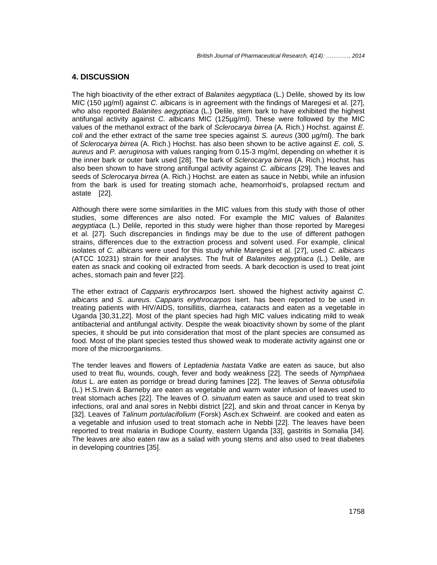#### **4. DISCUSSION**

The high bioactivity of the ether extract of Balanites aegyptiaca (L.) Delile, showed by its low MIC (150 µg/ml) against C. albicans is in agreement with the findings of Maregesi et al. [27], who also reported Balanites aegyptiaca (L.) Delile, stem bark to have exhibited the highest antifungal activity against C. albicans MIC (125µg/ml). These were followed by the MIC values of the methanol extract of the bark of Sclerocarya birrea (A. Rich.) Hochst. against E. coli and the ether extract of the same tree species against S. aureus  $(300 \mu g/ml)$ . The bark of Sclerocarya birrea (A. Rich.) Hochst. has also been shown to be active against E. coli, S. aureus and P. aeruginosa with values ranging from 0.15-3 mg/ml, depending on whether it is the inner bark or outer bark used [28]. The bark of Sclerocarya birrea (A. Rich.) Hochst. has also been shown to have strong antifungal activity against C. albicans [29]. The leaves and seeds of Sclerocarya birrea (A. Rich.) Hochst. are eaten as sauce in Nebbi, while an infusion from the bark is used for treating stomach ache, heamorrhoid's, prolapsed rectum and astate [22].

Although there were some similarities in the MIC values from this study with those of other studies, some differences are also noted. For example the MIC values of Balanites aegyptiaca (L.) Delile, reported in this study were higher than those reported by Maregesi et al. [27]. Such discrepancies in findings may be due to the use of different pathogen strains, differences due to the extraction process and solvent used. For example, clinical isolates of C. albicans were used for this study while Maregesi et al. [27], used C. albicans (ATCC 10231) strain for their analyses. The fruit of Balanites aegyptiaca (L.) Delile, are eaten as snack and cooking oil extracted from seeds. A bark decoction is used to treat joint aches, stomach pain and fever [22].

The ether extract of Capparis erythrocarpos Isert. showed the highest activity against C. albicans and S. aureus. Capparis erythrocarpos Isert. has been reported to be used in treating patients with HIV/AIDS, tonsillitis, diarrhea, cataracts and eaten as a vegetable in Uganda [30,31,22]. Most of the plant species had high MIC values indicating mild to weak antibacterial and antifungal activity. Despite the weak bioactivity shown by some of the plant species, it should be put into consideration that most of the plant species are consumed as food. Most of the plant species tested thus showed weak to moderate activity against one or more of the microorganisms.

The tender leaves and flowers of Leptadenia hastata Vatke are eaten as sauce, but also used to treat flu, wounds, cough, fever and body weakness [22]. The seeds of Nymphaea lotus L. are eaten as porridge or bread during famines [22]. The leaves of Senna obtusifolia (L.) H.S.Irwin & Barneby are eaten as vegetable and warm water infusion of leaves used to treat stomach aches [22]. The leaves of O. sinuatum eaten as sauce and used to treat skin infections, oral and anal sores in Nebbi district [22], and skin and throat cancer in Kenya by [32]. Leaves of Talinum portulacifolium (Forsk) Asch.ex Schweinf. are cooked and eaten as a vegetable and infusion used to treat stomach ache in Nebbi [22]. The leaves have been reported to treat malaria in Budiope County, eastern Uganda [33], gastritis in Somalia [34]. The leaves are also eaten raw as a salad with young stems and also used to treat diabetes in developing countries [35].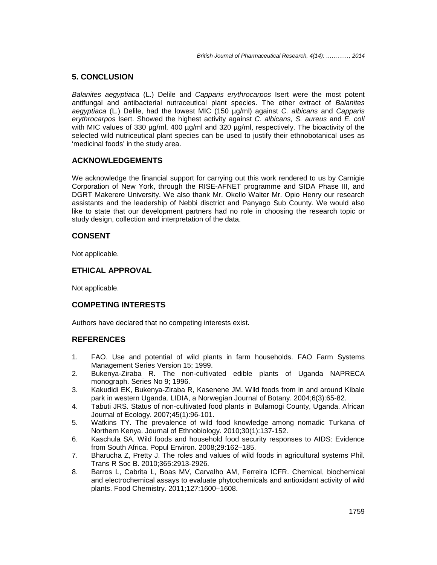# **5. CONCLUSION**

Balanites aegyptiaca (L.) Delile and Capparis erythrocarpos Isert were the most potent antifungal and antibacterial nutraceutical plant species. The ether extract of Balanites aegyptiaca (L.) Delile, had the lowest MIC (150  $\mu$ g/ml) against C. albicans and Capparis erythrocarpos Isert. Showed the highest activity against C. albicans, S. aureus and E. coli with MIC values of 330 µg/ml, 400 µg/ml and 320 µg/ml, respectively. The bioactivity of the selected wild nutriceutical plant species can be used to justify their ethnobotanical uses as 'medicinal foods' in the study area.

# **ACKNOWLEDGEMENTS**

We acknowledge the financial support for carrying out this work rendered to us by Carnigie Corporation of New York, through the RISE-AFNET programme and SIDA Phase III, and DGRT Makerere University. We also thank Mr. Okello Walter Mr. Opio Henry our research assistants and the leadership of Nebbi disctrict and Panyago Sub County. We would also like to state that our development partners had no role in choosing the research topic or study design, collection and interpretation of the data.

# **CONSENT**

Not applicable.

# **ETHICAL APPROVAL**

Not applicable.

# **COMPETING INTERESTS**

Authors have declared that no competing interests exist.

# **REFERENCES**

- 1. FAO. Use and potential of wild plants in farm households. FAO Farm Systems Management Series Version 15; 1999.
- 2. Bukenya-Ziraba R. The non-cultivated edible plants of Uganda NAPRECA monograph. Series No 9; 1996.
- 3. Kakudidi EK, Bukenya-Ziraba R, Kasenene JM. Wild foods from in and around Kibale park in western Uganda. LIDIA, a Norwegian Journal of Botany. 2004;6(3):65-82.
- 4. Tabuti JRS. Status of non-cultivated food plants in Bulamogi County, Uganda. African Journal of Ecology. 2007;45(1):96-101.
- 5. Watkins TY. The prevalence of wild food knowledge among nomadic Turkana of Northern Kenya. Journal of Ethnobiology. 2010;30(1):137-152.
- 6. Kaschula SA. Wild foods and household food security responses to AIDS: Evidence from South Africa. Popul Environ. 2008;29:162–185.
- 7. Bharucha Z, Pretty J. The roles and values of wild foods in agricultural systems Phil. Trans R Soc B. 2010;365:2913-2926.
- 8. Barros L, Cabrita L, Boas MV, Carvalho AM, Ferreira ICFR. Chemical, biochemical and electrochemical assays to evaluate phytochemicals and antioxidant activity of wild plants. Food Chemistry. 2011;127:1600–1608.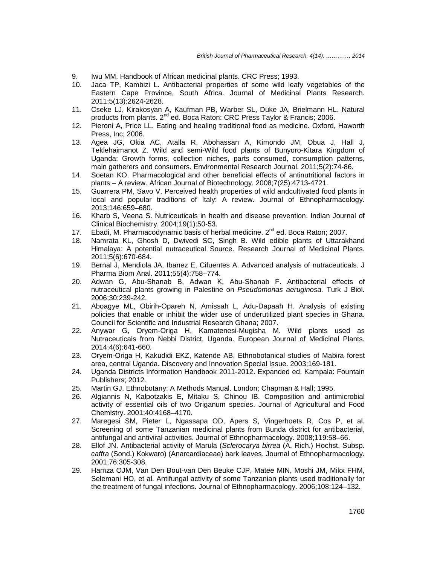- 9. Iwu MM. Handbook of African medicinal plants. CRC Press; 1993.
- 10. Jaca TP, Kambizi L. Antibacterial properties of some wild leafy vegetables of the Eastern Cape Province, South Africa. Journal of Medicinal Plants Research. 2011;5(13):2624-2628.
- 11. Cseke LJ, Kirakosyan A, Kaufman PB, Warber SL, Duke JA, Brielmann HL. Natural products from plants. 2<sup>nd</sup> ed. Boca Raton: CRC Press Taylor & Francis; 2006.
- 12. Pieroni A, Price LL. Eating and healing traditional food as medicine. Oxford, Haworth Press, Inc; 2006.
- 13. Agea JG, Okia AC, Atalla R, Abohassan A, Kimondo JM, Obua J, Hall J, Teklehaimanot Z. Wild and semi-Wild food plants of Bunyoro-Kitara Kingdom of Uganda: Growth forms, collection niches, parts consumed, consumption patterns, main gatherers and consumers. Environmental Research Journal. 2011;5(2):74-86.
- 14. Soetan KO. Pharmacological and other beneficial effects of antinutritional factors in plants – A review. African Journal of Biotechnology. 2008;7(25):4713-4721.
- 15. Guarrera PM, Savo V. Perceived health properties of wild andcultivated food plants in local and popular traditions of Italy: A review. Journal of Ethnopharmacology. 2013;146:659–680.
- 16. Kharb S, Veena S. Nutriceuticals in health and disease prevention. Indian Journal of Clinical Biochemistry. 2004;19(1):50-53.
- 17. Ebadi, M. Pharmacodynamic basis of herbal medicine. 2<sup>nd</sup> ed. Boca Raton; 2007.
- 18. Namrata KL, Ghosh D, Dwivedi SC, Singh B. Wild edible plants of Uttarakhand Himalaya: A potential nutraceutical Source. Research Journal of Medicinal Plants. 2011;5(6):670-684.
- 19. Bernal J, Mendiola JA, Ibanez E, Cifuentes A. Advanced analysis of nutraceuticals. J Pharma Biom Anal. 2011;55(4):758–774.
- 20. Adwan G, Abu-Shanab B, Adwan K, Abu-Shanab F. Antibacterial effects of nutraceutical plants growing in Palestine on Pseudomonas aeruginosa. Turk J Biol. 2006;30:239-242.
- 21. Aboagye ML, Obirih-Opareh N, Amissah L, Adu-Dapaah H. Analysis of existing policies that enable or inhibit the wider use of underutilized plant species in Ghana. Council for Scientific and Industrial Research Ghana; 2007.
- 22. Anywar G, Oryem-Origa H, Kamatenesi-Mugisha M. Wild plants used as Nutraceuticals from Nebbi District, Uganda. European Journal of Medicinal Plants. 2014;4(6):641-660.
- 23. Oryem-Origa H, Kakudidi EKZ, Katende AB. Ethnobotanical studies of Mabira forest area, central Uganda. Discovery and Innovation Special Issue. 2003;169-181.
- 24. Uganda Districts Information Handbook 2011-2012. Expanded ed. Kampala: Fountain Publishers; 2012.
- 25. Martin GJ. Ethnobotany: A Methods Manual. London; Chapman & Hall; 1995.
- 26. Algiannis N, Kalpotzakis E, Mitaku S, Chinou IB. Composition and antimicrobial activity of essential oils of two Origanum species. Journal of Agricultural and Food Chemistry. 2001;40:4168–4170.
- 27. Maregesi SM, Pieter L, Ngassapa OD, Apers S, Vingerhoets R, Cos P, et al. Screening of some Tanzanian medicinal plants from Bunda district for antibacterial, antifungal and antiviral activities. Journal of Ethnopharmacology. 2008;119:58–66.
- 28. Ellof JN. Antibacterial activity of Marula (Sclerocarya birrea (A. Rich.) Hochst. Subsp. caffra (Sond.) Kokwaro) (Anarcardiaceae) bark leaves. Journal of Ethnopharmacology. 2001;76:305-308.
- 29. Hamza OJM, Van Den Bout-van Den Beuke CJP, Matee MIN, Moshi JM, Mikx FHM, Selemani HO, et al. Antifungal activity of some Tanzanian plants used traditionally for the treatment of fungal infections. Journal of Ethnopharmacology. 2006;108:124–132.